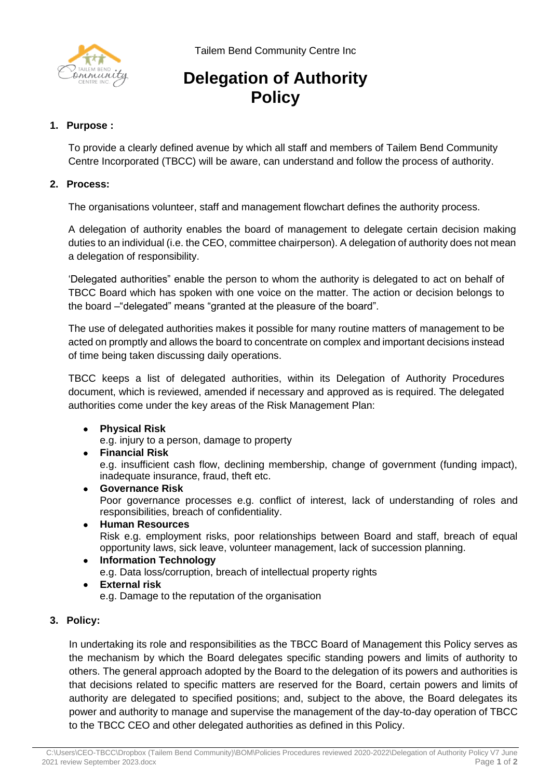



# **Delegation of Authority Policy**

# **1. Purpose :**

To provide a clearly defined avenue by which all staff and members of Tailem Bend Community Centre Incorporated (TBCC) will be aware, can understand and follow the process of authority.

# **2. Process:**

The organisations volunteer, staff and management flowchart defines the authority process.

A delegation of authority enables the board of management to delegate certain decision making duties to an individual (i.e. the CEO, committee chairperson). A delegation of authority does not mean a delegation of responsibility.

'Delegated authorities" enable the person to whom the authority is delegated to act on behalf of TBCC Board which has spoken with one voice on the matter. The action or decision belongs to the board –"delegated" means "granted at the pleasure of the board".

The use of delegated authorities makes it possible for many routine matters of management to be acted on promptly and allows the board to concentrate on complex and important decisions instead of time being taken discussing daily operations.

TBCC keeps a list of delegated authorities, within its Delegation of Authority Procedures document, which is reviewed, amended if necessary and approved as is required. The delegated authorities come under the key areas of the Risk Management Plan:

• **Physical Risk**

e.g. injury to a person, damage to property

- **Financial Risk** e.g. insufficient cash flow, declining membership, change of government (funding impact), inadequate insurance, fraud, theft etc.
- **Governance Risk** Poor governance processes e.g. conflict of interest, lack of understanding of roles and responsibilities, breach of confidentiality.
- **Human Resources** Risk e.g. employment risks, poor relationships between Board and staff, breach of equal opportunity laws, sick leave, volunteer management, lack of succession planning.
- **Information Technology** e.g. Data loss/corruption, breach of intellectual property rights
- **External risk** e.g. Damage to the reputation of the organisation

## **3. Policy:**

In undertaking its role and responsibilities as the TBCC Board of Management this Policy serves as the mechanism by which the Board delegates specific standing powers and limits of authority to others. The general approach adopted by the Board to the delegation of its powers and authorities is that decisions related to specific matters are reserved for the Board, certain powers and limits of authority are delegated to specified positions; and, subject to the above, the Board delegates its power and authority to manage and supervise the management of the day-to-day operation of TBCC to the TBCC CEO and other delegated authorities as defined in this Policy.